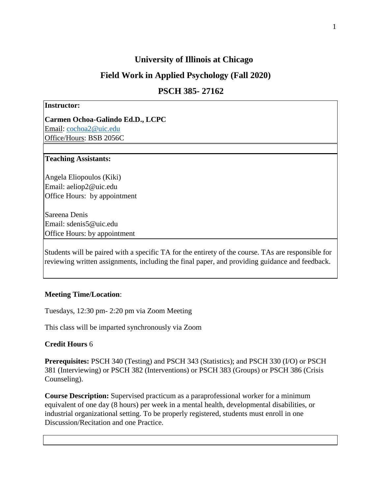# **University of Illinois at Chicago**

# **Field Work in Applied Psychology (Fall 2020)**

# **PSCH 385- 27162**

#### **Instructor:**

**Carmen Ochoa-Galindo Ed.D., LCPC**  Email: [cochoa2@uic.edu](mailto:cochoa2@uic.edu) Office/Hours: BSB 2056C

#### **Teaching Assistants:**

Angela Eliopoulos (Kiki) Email: aeliop2@uic.edu Office Hours: by appointment

Sareena Denis Email: sdenis5@uic.edu Office Hours: by appointment

Students will be paired with a specific TA for the entirety of the course. TAs are responsible for reviewing written assignments, including the final paper, and providing guidance and feedback.

#### **Meeting Time/Location**:

Tuesdays, 12:30 pm- 2:20 pm via Zoom Meeting

This class will be imparted synchronously via Zoom

## **Credit Hours** 6

**Prerequisites:** PSCH 340 (Testing) and PSCH 343 (Statistics); and PSCH 330 (I/O) or PSCH 381 (Interviewing) or PSCH 382 (Interventions) or PSCH 383 (Groups) or PSCH 386 (Crisis Counseling).

**Course Description:** Supervised practicum as a paraprofessional worker for a minimum equivalent of one day (8 hours) per week in a mental health, developmental disabilities, or industrial organizational setting. To be properly registered, students must enroll in one Discussion/Recitation and one Practice.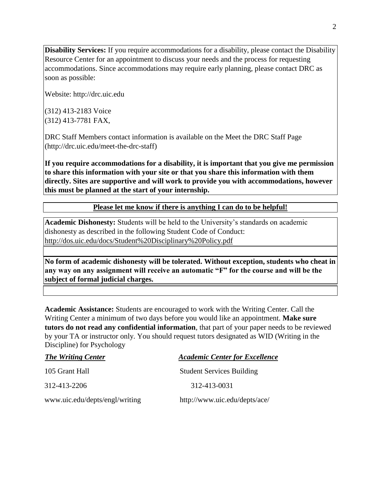**Disability Services:** If you require accommodations for a disability, please contact the Disability Resource Center for an appointment to discuss your needs and the process for requesting accommodations. Since accommodations may require early planning, please contact DRC as soon as possible:

Website: http://drc.uic.edu

(312) 413-2183 Voice (312) 413-7781 FAX,

DRC Staff Members contact information is available on the Meet the DRC Staff Page (http://drc.uic.edu/meet-the-drc-staff)

**If you require accommodations for a disability, it is important that you give me permission to share this information with your site or that you share this information with them directly. Sites are supportive and will work to provide you with accommodations, however this must be planned at the start of your internship.** 

**Please let me know if there is anything I can do to be helpful!**

**Academic Dishonesty:** Students will be held to the University's standards on academic dishonesty as described in the following Student Code of Conduct: http://dos.uic.edu/docs/Student%20Disciplinary%20Policy.pdf

**No form of academic dishonesty will be tolerated. Without exception, students who cheat in any way on any assignment will receive an automatic "F" for the course and will be the subject of formal judicial charges.** 

**Academic Assistance:** Students are encouraged to work with the Writing Center. Call the Writing Center a minimum of two days before you would like an appointment. **Make sure tutors do not read any confidential information**, that part of your paper needs to be reviewed by your TA or instructor only. You should request tutors designated as WID (Writing in the Discipline) for Psychology

| <b>The Writing Center</b>      | <b>Academic Center for Excellence</b> |
|--------------------------------|---------------------------------------|
| 105 Grant Hall                 | <b>Student Services Building</b>      |
| 312-413-2206                   | 312-413-0031                          |
| www.uic.edu/depts/engl/writing | http://www.uic.edu/depts/ace/         |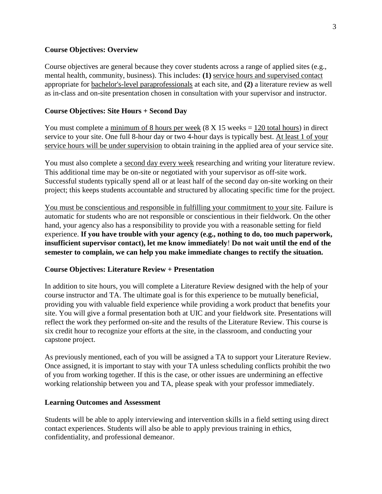### **Course Objectives: Overview**

Course objectives are general because they cover students across a range of applied sites (e.g., mental health, community, business). This includes: **(1)** service hours and supervised contact appropriate for bachelor's-level paraprofessionals at each site, and **(2)** a literature review as well as in-class and on-site presentation chosen in consultation with your supervisor and instructor.

## **Course Objectives: Site Hours + Second Day**

You must complete a minimum of 8 hours per week  $(8 \text{ X } 15 \text{ weeks} = 120 \text{ total hours})$  in direct service to your site. One full 8-hour day or two 4-hour days is typically best. At least 1 of your service hours will be under supervision to obtain training in the applied area of your service site.

You must also complete a second day every week researching and writing your literature review. This additional time may be on-site or negotiated with your supervisor as off-site work. Successful students typically spend all or at least half of the second day on-site working on their project; this keeps students accountable and structured by allocating specific time for the project.

You must be conscientious and responsible in fulfilling your commitment to your site. Failure is automatic for students who are not responsible or conscientious in their fieldwork. On the other hand, your agency also has a responsibility to provide you with a reasonable setting for field experience. **If you have trouble with your agency (e.g., nothing to do, too much paperwork, insufficient supervisor contact), let me know immediately**! **Do not wait until the end of the semester to complain, we can help you make immediate changes to rectify the situation.**

## **Course Objectives: Literature Review + Presentation**

In addition to site hours, you will complete a Literature Review designed with the help of your course instructor and TA. The ultimate goal is for this experience to be mutually beneficial, providing you with valuable field experience while providing a work product that benefits your site. You will give a formal presentation both at UIC and your fieldwork site. Presentations will reflect the work they performed on-site and the results of the Literature Review. This course is six credit hour to recognize your efforts at the site, in the classroom, and conducting your capstone project.

As previously mentioned, each of you will be assigned a TA to support your Literature Review. Once assigned, it is important to stay with your TA unless scheduling conflicts prohibit the two of you from working together. If this is the case, or other issues are undermining an effective working relationship between you and TA, please speak with your professor immediately.

#### **Learning Outcomes and Assessment**

Students will be able to apply interviewing and intervention skills in a field setting using direct contact experiences. Students will also be able to apply previous training in ethics, confidentiality, and professional demeanor.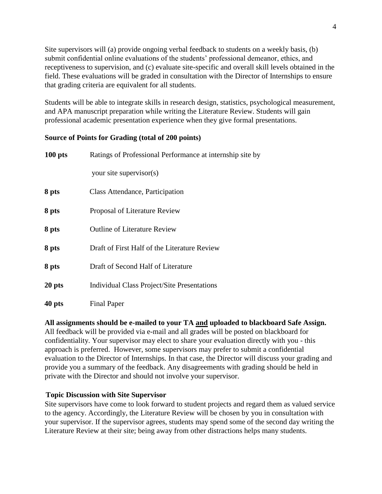Site supervisors will (a) provide ongoing verbal feedback to students on a weekly basis, (b) submit confidential online evaluations of the students' professional demeanor, ethics, and receptiveness to supervision, and (c) evaluate site-specific and overall skill levels obtained in the field. These evaluations will be graded in consultation with the Director of Internships to ensure that grading criteria are equivalent for all students.

Students will be able to integrate skills in research design, statistics, psychological measurement, and APA manuscript preparation while writing the Literature Review. Students will gain professional academic presentation experience when they give formal presentations.

## **Source of Points for Grading (total of 200 points)**

| $100$ pts | Ratings of Professional Performance at internship site by |
|-----------|-----------------------------------------------------------|
|           | your site supervisor(s)                                   |
| 8 pts     | Class Attendance, Participation                           |
| 8 pts     | Proposal of Literature Review                             |
| 8 pts     | <b>Outline of Literature Review</b>                       |
| 8 pts     | Draft of First Half of the Literature Review              |
| 8 pts     | Draft of Second Half of Literature                        |
| 20 pts    | Individual Class Project/Site Presentations               |
| 40 pts    | Final Paper                                               |

## **All assignments should be e-mailed to your TA and uploaded to blackboard Safe Assign.**

All feedback will be provided via e-mail and all grades will be posted on blackboard for confidentiality. Your supervisor may elect to share your evaluation directly with you - this approach is preferred. However, some supervisors may prefer to submit a confidential evaluation to the Director of Internships. In that case, the Director will discuss your grading and provide you a summary of the feedback. Any disagreements with grading should be held in private with the Director and should not involve your supervisor.

## **Topic Discussion with Site Supervisor**

Site supervisors have come to look forward to student projects and regard them as valued service to the agency. Accordingly, the Literature Review will be chosen by you in consultation with your supervisor. If the supervisor agrees, students may spend some of the second day writing the Literature Review at their site; being away from other distractions helps many students.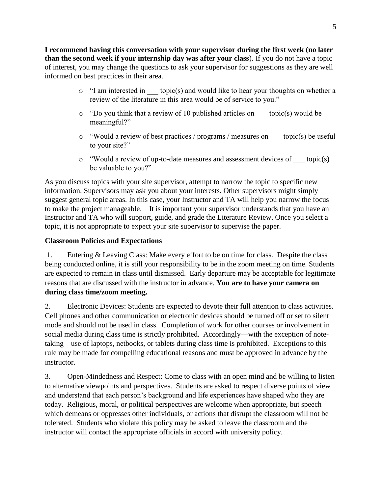**I recommend having this conversation with your supervisor during the first week (no later than the second week if your internship day was after your class**). If you do not have a topic of interest, you may change the questions to ask your supervisor for suggestions as they are well informed on best practices in their area.

- $\circ$  "I am interested in topic(s) and would like to hear your thoughts on whether a review of the literature in this area would be of service to you."
- $\circ$  "Do you think that a review of 10 published articles on topic(s) would be meaningful?"
- o "Would a review of best practices / programs / measures on \_\_\_ topic(s) be useful to your site?"
- o "Would a review of up-to-date measures and assessment devices of \_\_\_ topic(s) be valuable to you?"

As you discuss topics with your site supervisor, attempt to narrow the topic to specific new information. Supervisors may ask you about your interests. Other supervisors might simply suggest general topic areas. In this case, your Instructor and TA will help you narrow the focus to make the project manageable. It is important your supervisor understands that you have an Instructor and TA who will support, guide, and grade the Literature Review. Once you select a topic, it is not appropriate to expect your site supervisor to supervise the paper.

# **Classroom Policies and Expectations**

1. Entering & Leaving Class: Make every effort to be on time for class. Despite the class being conducted online, it is still your responsibility to be in the zoom meeting on time. Students are expected to remain in class until dismissed. Early departure may be acceptable for legitimate reasons that are discussed with the instructor in advance. **You are to have your camera on during class time/zoom meeting.** 

2. Electronic Devices: Students are expected to devote their full attention to class activities. Cell phones and other communication or electronic devices should be turned off or set to silent mode and should not be used in class. Completion of work for other courses or involvement in social media during class time is strictly prohibited. Accordingly—with the exception of notetaking—use of laptops, netbooks, or tablets during class time is prohibited. Exceptions to this rule may be made for compelling educational reasons and must be approved in advance by the instructor.

3. Open-Mindedness and Respect: Come to class with an open mind and be willing to listen to alternative viewpoints and perspectives. Students are asked to respect diverse points of view and understand that each person's background and life experiences have shaped who they are today. Religious, moral, or political perspectives are welcome when appropriate, but speech which demeans or oppresses other individuals, or actions that disrupt the classroom will not be tolerated. Students who violate this policy may be asked to leave the classroom and the instructor will contact the appropriate officials in accord with university policy.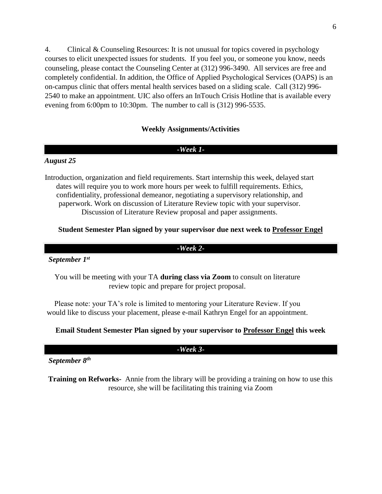4. Clinical & Counseling Resources: It is not unusual for topics covered in psychology courses to elicit unexpected issues for students. If you feel you, or someone you know, needs counseling, please contact the Counseling Center at (312) 996-3490. All services are free and completely confidential. In addition, the Office of Applied Psychological Services (OAPS) is an on-campus clinic that offers mental health services based on a sliding scale. Call (312) 996- 2540 to make an appointment. UIC also offers an InTouch Crisis Hotline that is available every evening from 6:00pm to 10:30pm. The number to call is (312) 996-5535.

## **Weekly Assignments/Activities**

### *-Week 1-*

#### *August 25*

Introduction, organization and field requirements. Start internship this week, delayed start dates will require you to work more hours per week to fulfill requirements. Ethics, confidentiality, professional demeanor, negotiating a supervisory relationship, and paperwork. Work on discussion of Literature Review topic with your supervisor. Discussion of Literature Review proposal and paper assignments.

### **Student Semester Plan signed by your supervisor due next week to Professor Engel**

*-Week 2-*

#### *September 1st*

You will be meeting with your TA **during class via Zoom** to consult on literature review topic and prepare for project proposal.

Please note: your TA's role is limited to mentoring your Literature Review. If you would like to discuss your placement, please e-mail Kathryn Engel for an appointment.

## **Email Student Semester Plan signed by your supervisor to Professor Engel this week**

#### *-Week 3-*

 *September 8th*

**Training on Refworks-** Annie from the library will be providing a training on how to use this resource, she will be facilitating this training via Zoom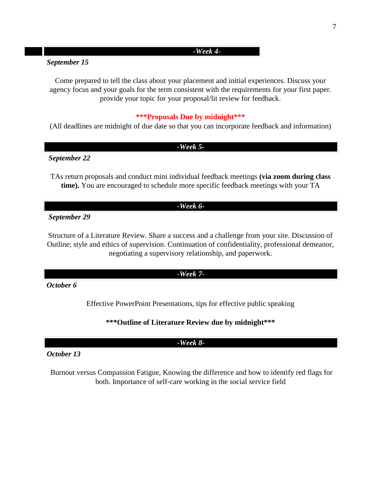## *-Week 4-*

## *September 15*

Come prepared to tell the class about your placement and initial experiences. Discuss your agency focus and your goals for the term consistent with the requirements for your first paper. provide your topic for your proposal/lit review for feedback.

## **\*\*\*Proposals Due by midnight\*\*\***

(All deadlines are midnight of due date so that you can incorporate feedback and information)

#### *-Week 5-*

*September 22*

TAs return proposals and conduct mini individual feedback meetings **(via zoom during class time).** You are encouraged to schedule more specific feedback meetings with your TA

## *-Week 6-*

 *September 29*

Structure of a Literature Review. Share a success and a challenge from your site. Discussion of Outline; style and ethics of supervision. Continuation of confidentiality, professional demeanor, negotiating a supervisory relationship, and paperwork.

## *-Week 7-*

*October 6*

Effective PowerPoint Presentations, tips for effective public speaking

## **\*\*\*Outline of Literature Review due by midnight\*\*\***

## *-Week 8-*

### *October 13*

Burnout versus Compassion Fatigue, Knowing the difference and how to identify red flags for both. Importance of self-care working in the social service field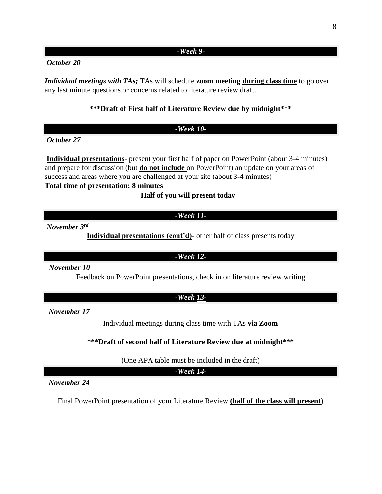#### *-Week 9-*

# *October 20*

*Individual meetings with TAs;* **TAs will schedule zoom meeting during class time** to go over any last minute questions or concerns related to literature review draft.

## **\*\*\*Draft of First half of Literature Review due by midnight\*\*\***

#### *-Week 10-*

*October 27* 

**Individual presentations**- present your first half of paper on PowerPoint (about 3-4 minutes) and prepare for discussion (but **do not include** on PowerPoint) an update on your areas of success and areas where you are challenged at your site (about 3-4 minutes)

# **Total time of presentation: 8 minutes**

**Half of you will present today**

### *-Week 11-*

*November 3rd*

**Individual presentations (cont'd)-** other half of class presents today

#### *-Week 12-*

*November 10*

Feedback on PowerPoint presentations, check in on literature review writing

#### *-Week 13-*

*November 17*

Individual meetings during class time with TAs **via Zoom**

\***\*\*Draft of second half of Literature Review due at midnight\*\*\***

(One APA table must be included in the draft)

*-Week 14-*

*November 24*

Final PowerPoint presentation of your Literature Review **(half of the class will present**)